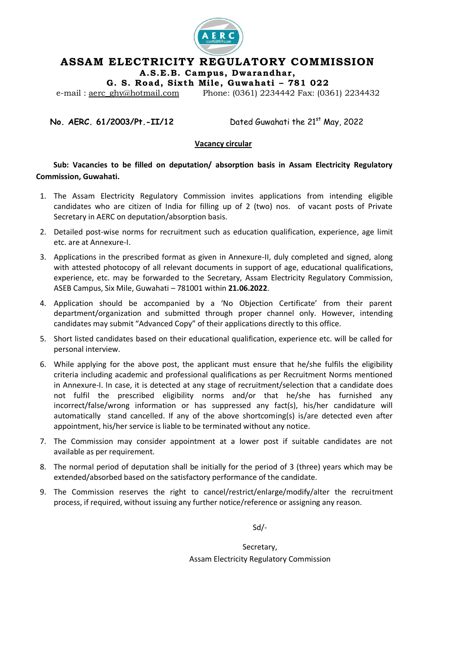

## **ASSAM ELECTRICITY REGULATORY COMMISSION**

**A.S.E.B. Campus , Dwarandhar,**

**G . S. Road, Six th Mi le , Guwahati – 781 022**

e-mail: <u>aerc\_ghy@hotmail.com</u> Phone: (0361) 2234442 Fax: (0361) 2234432

**No. AERC. 61/2003/Pt.-II/12** Dated Guwahati the 21<sup>st</sup> May, 2022

#### **Vacancy circular**

**Sub: Vacancies to be filled on deputation/ absorption basis in Assam Electricity Regulatory Commission, Guwahati.**

- 1. The Assam Electricity Regulatory Commission invites applications from intending eligible candidates who are citizen of India for filling up of 2 (two) nos. of vacant posts of Private Secretary in AERC on deputation/absorption basis.
- 2. Detailed post-wise norms for recruitment such as education qualification, experience, age limit etc. are at Annexure-I.
- 3. Applications in the prescribed format as given in Annexure-II, duly completed and signed, along with attested photocopy of all relevant documents in support of age, educational qualifications, experience, etc. may be forwarded to the Secretary, Assam Electricity Regulatory Commission, ASEB Campus, Six Mile, Guwahati – 781001 within **21.06.2022**.
- 4. Application should be accompanied by a 'No Objection Certificate' from their parent department/organization and submitted through proper channel only. However, intending candidates may submit "Advanced Copy" of their applications directly to this office.
- 5. Short listed candidates based on their educational qualification, experience etc. will be called for personal interview.
- 6. While applying for the above post, the applicant must ensure that he/she fulfils the eligibility criteria including academic and professional qualifications as per Recruitment Norms mentioned in Annexure-I. In case, it is detected at any stage of recruitment/selection that a candidate does not fulfil the prescribed eligibility norms and/or that he/she has furnished any incorrect/false/wrong information or has suppressed any fact(s), his/her candidature will automatically stand cancelled. If any of the above shortcoming(s) is/are detected even after appointment, his/her service is liable to be terminated without any notice.
- 7. The Commission may consider appointment at a lower post if suitable candidates are not available as per requirement.
- 8. The normal period of deputation shall be initially for the period of 3 (three) years which may be extended/absorbed based on the satisfactory performance of the candidate.
- 9. The Commission reserves the right to cancel/restrict/enlarge/modify/alter the recruitment process, if required, without issuing any further notice/reference or assigning any reason.

Sd/-

Secretary, Assam Electricity Regulatory Commission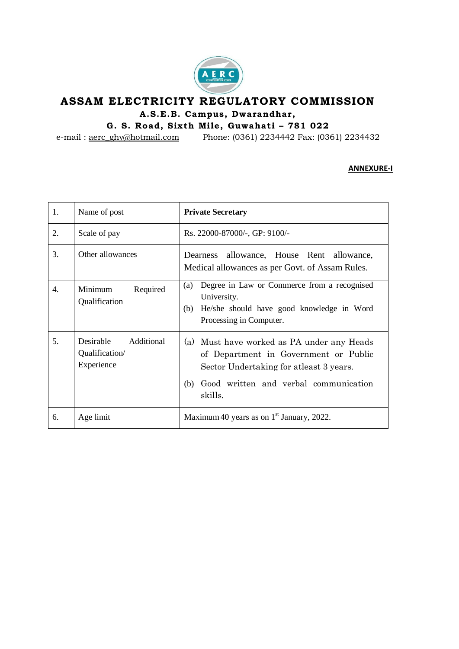

# **ASSAM ELECTRICITY REGULATORY COMMISSION** A.S.E.B. Campus, Dwarandhar,

**G . S. Road, Six th Mi le , Guwahati – 781 022**

e-mail : [aerc\\_ghy@hotmail.com](mailto:aerc_ghy@hotmail.com) Phone: (0361) 2234442 Fax: (0361) 2234432

#### **ANNEXURE-I**

| 1. | Name of post                                                   | <b>Private Secretary</b>                                                                                                                                                                  |  |  |
|----|----------------------------------------------------------------|-------------------------------------------------------------------------------------------------------------------------------------------------------------------------------------------|--|--|
| 2. | Scale of pay                                                   | Rs. 22000-87000/-, GP: 9100/-                                                                                                                                                             |  |  |
| 3. | Other allowances                                               | Dearness allowance, House Rent allowance,<br>Medical allowances as per Govt. of Assam Rules.                                                                                              |  |  |
| 4. | Required<br>Minimum<br>Qualification                           | Degree in Law or Commerce from a recognised<br>(a)<br>University.<br>He/she should have good knowledge in Word<br>(b)<br>Processing in Computer.                                          |  |  |
| 5. | <b>Desirable</b><br>Additional<br>Qualification/<br>Experience | (a) Must have worked as PA under any Heads<br>of Department in Government or Public<br>Sector Undertaking for atleast 3 years.<br>Good written and verbal communication<br>(b)<br>skills. |  |  |
| 6. | Age limit                                                      | Maximum 40 years as on $1st$ January, 2022.                                                                                                                                               |  |  |